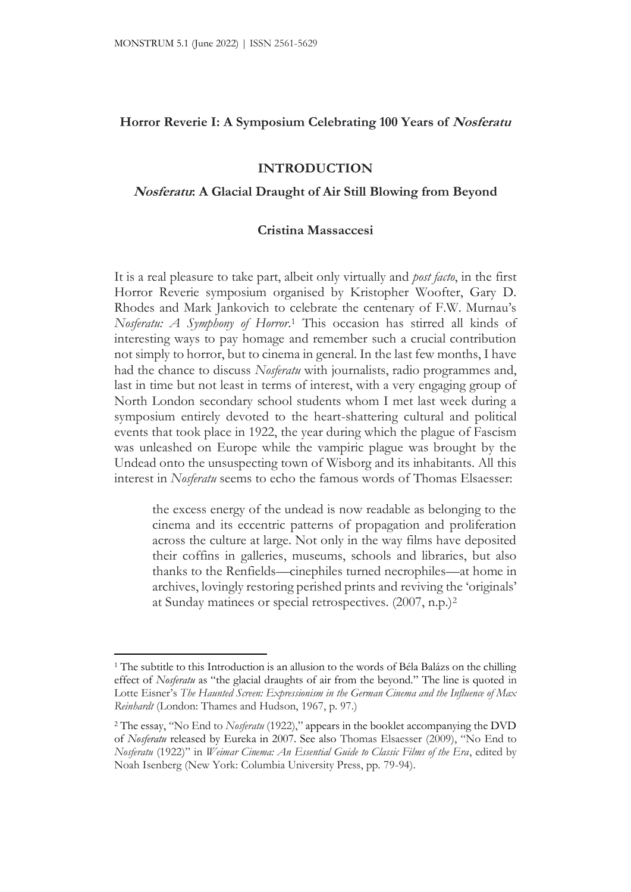# **Horror Reverie I: A Symposium Celebrating 100 Years of Nosferatu**

# **INTRODUCTION**

### **Nosferatu: A Glacial Draught of Air Still Blowing from Beyond**

### **Cristina Massaccesi**

It is a real pleasure to take part, albeit only virtually and *post facto*, in the first Horror Reverie symposium organised by Kristopher Woofter, Gary D. Rhodes and Mark Jankovich to celebrate the centenary of F.W. Murnau's *Nosferatu: A Symphony of Horror*. <sup>1</sup> This occasion has stirred all kinds of interesting ways to pay homage and remember such a crucial contribution not simply to horror, but to cinema in general. In the last few months, I have had the chance to discuss *Nosferatu* with journalists, radio programmes and, last in time but not least in terms of interest, with a very engaging group of North London secondary school students whom I met last week during a symposium entirely devoted to the heart-shattering cultural and political events that took place in 1922, the year during which the plague of Fascism was unleashed on Europe while the vampiric plague was brought by the Undead onto the unsuspecting town of Wisborg and its inhabitants. All this interest in *Nosferatu* seems to echo the famous words of Thomas Elsaesser:

the excess energy of the undead is now readable as belonging to the cinema and its eccentric patterns of propagation and proliferation across the culture at large. Not only in the way films have deposited their coffins in galleries, museums, schools and libraries, but also thanks to the Renfields—cinephiles turned necrophiles—at home in archives, lovingly restoring perished prints and reviving the 'originals' at Sunday matinees or special retrospectives. (2007, n.p.)<sup>2</sup>

<sup>&</sup>lt;sup>1</sup> The subtitle to this Introduction is an allusion to the words of Béla Balázs on the chilling effect of *Nosferatu* as "the glacial draughts of air from the beyond." The line is quoted in Lotte Eisner's *The Haunted Screen: Expressionism in the German Cinema and the Influence of Max Reinhardt* (London: Thames and Hudson, 1967, p. 97.)

<sup>2</sup> The essay, "No End to *Nosferatu* (1922)," appears in the booklet accompanying the DVD of *Nosferatu* released by Eureka in 2007. See also Thomas Elsaesser (2009), "No End to *Nosferatu* (1922)" in *Weimar Cinema: An Essential Guide to Classic Films of the Era*, edited by Noah Isenberg (New York: Columbia University Press, pp. 79-94).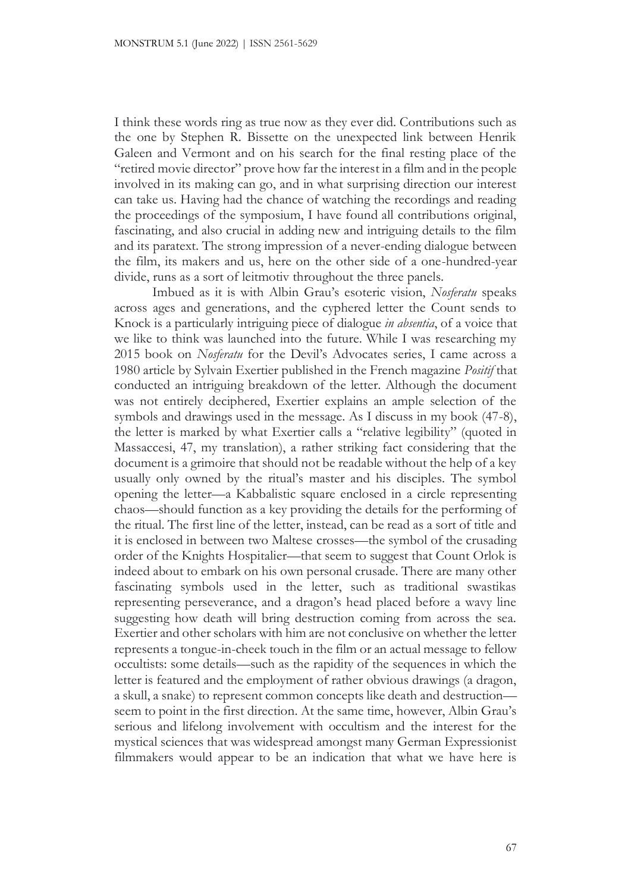I think these words ring as true now as they ever did. Contributions such as the one by Stephen R. Bissette on the unexpected link between Henrik Galeen and Vermont and on his search for the final resting place of the "retired movie director" prove how far the interest in a film and in the people involved in its making can go, and in what surprising direction our interest can take us. Having had the chance of watching the recordings and reading the proceedings of the symposium, I have found all contributions original, fascinating, and also crucial in adding new and intriguing details to the film and its paratext. The strong impression of a never-ending dialogue between the film, its makers and us, here on the other side of a one-hundred-year divide, runs as a sort of leitmotiv throughout the three panels.

Imbued as it is with Albin Grau's esoteric vision, *Nosferatu* speaks across ages and generations, and the cyphered letter the Count sends to Knock is a particularly intriguing piece of dialogue *in absentia*, of a voice that we like to think was launched into the future. While I was researching my 2015 book on *Nosferatu* for the Devil's Advocates series, I came across a 1980 article by Sylvain Exertier published in the French magazine *Positif* that conducted an intriguing breakdown of the letter. Although the document was not entirely deciphered, Exertier explains an ample selection of the symbols and drawings used in the message. As I discuss in my book (47-8), the letter is marked by what Exertier calls a "relative legibility" (quoted in Massaccesi, 47, my translation), a rather striking fact considering that the document is a grimoire that should not be readable without the help of a key usually only owned by the ritual's master and his disciples. The symbol opening the letter—a Kabbalistic square enclosed in a circle representing chaos—should function as a key providing the details for the performing of the ritual. The first line of the letter, instead, can be read as a sort of title and it is enclosed in between two Maltese crosses—the symbol of the crusading order of the Knights Hospitalier—that seem to suggest that Count Orlok is indeed about to embark on his own personal crusade. There are many other fascinating symbols used in the letter, such as traditional swastikas representing perseverance, and a dragon's head placed before a wavy line suggesting how death will bring destruction coming from across the sea. Exertier and other scholars with him are not conclusive on whether the letter represents a tongue-in-cheek touch in the film or an actual message to fellow occultists: some details—such as the rapidity of the sequences in which the letter is featured and the employment of rather obvious drawings (a dragon, a skull, a snake) to represent common concepts like death and destruction seem to point in the first direction. At the same time, however, Albin Grau's serious and lifelong involvement with occultism and the interest for the mystical sciences that was widespread amongst many German Expressionist filmmakers would appear to be an indication that what we have here is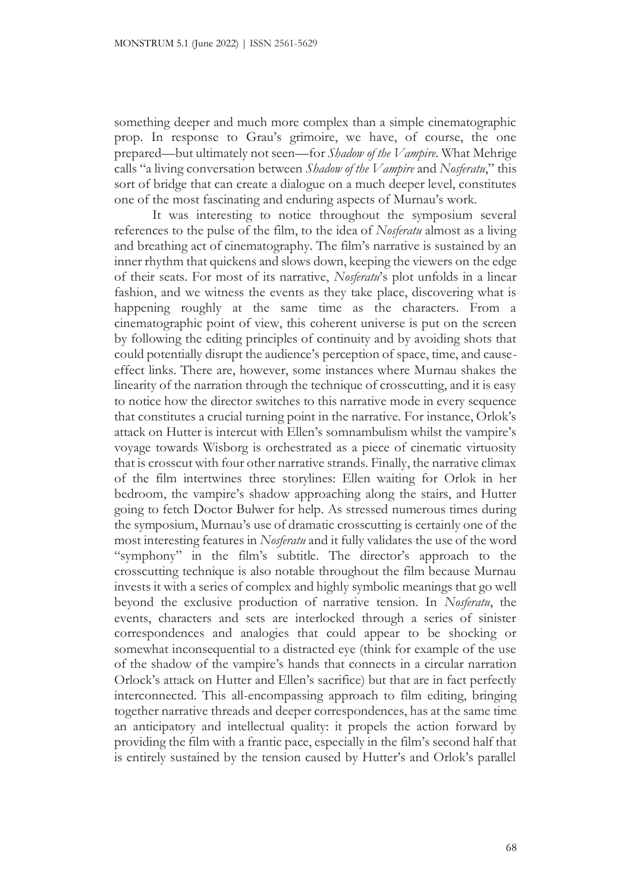something deeper and much more complex than a simple cinematographic prop. In response to Grau's grimoire, we have, of course, the one prepared—but ultimately not seen—for *Shadow of the Vampire*. What Mehrige calls "a living conversation between *Shadow of the Vampire* and *Nosferatu*," this sort of bridge that can create a dialogue on a much deeper level, constitutes one of the most fascinating and enduring aspects of Murnau's work.

It was interesting to notice throughout the symposium several references to the pulse of the film, to the idea of *Nosferatu* almost as a living and breathing act of cinematography. The film's narrative is sustained by an inner rhythm that quickens and slows down, keeping the viewers on the edge of their seats. For most of its narrative, *Nosferatu*'s plot unfolds in a linear fashion, and we witness the events as they take place, discovering what is happening roughly at the same time as the characters. From a cinematographic point of view, this coherent universe is put on the screen by following the editing principles of continuity and by avoiding shots that could potentially disrupt the audience's perception of space, time, and causeeffect links. There are, however, some instances where Murnau shakes the linearity of the narration through the technique of crosscutting, and it is easy to notice how the director switches to this narrative mode in every sequence that constitutes a crucial turning point in the narrative. For instance, Orlok's attack on Hutter is intercut with Ellen's somnambulism whilst the vampire's voyage towards Wisborg is orchestrated as a piece of cinematic virtuosity that is crosscut with four other narrative strands. Finally, the narrative climax of the film intertwines three storylines: Ellen waiting for Orlok in her bedroom, the vampire's shadow approaching along the stairs, and Hutter going to fetch Doctor Bulwer for help. As stressed numerous times during the symposium, Murnau's use of dramatic crosscutting is certainly one of the most interesting features in *Nosferatu* and it fully validates the use of the word "symphony" in the film's subtitle. The director's approach to the crosscutting technique is also notable throughout the film because Murnau invests it with a series of complex and highly symbolic meanings that go well beyond the exclusive production of narrative tension. In *Nosferatu*, the events, characters and sets are interlocked through a series of sinister correspondences and analogies that could appear to be shocking or somewhat inconsequential to a distracted eye (think for example of the use of the shadow of the vampire's hands that connects in a circular narration Orlock's attack on Hutter and Ellen's sacrifice) but that are in fact perfectly interconnected. This all-encompassing approach to film editing, bringing together narrative threads and deeper correspondences, has at the same time an anticipatory and intellectual quality: it propels the action forward by providing the film with a frantic pace, especially in the film's second half that is entirely sustained by the tension caused by Hutter's and Orlok's parallel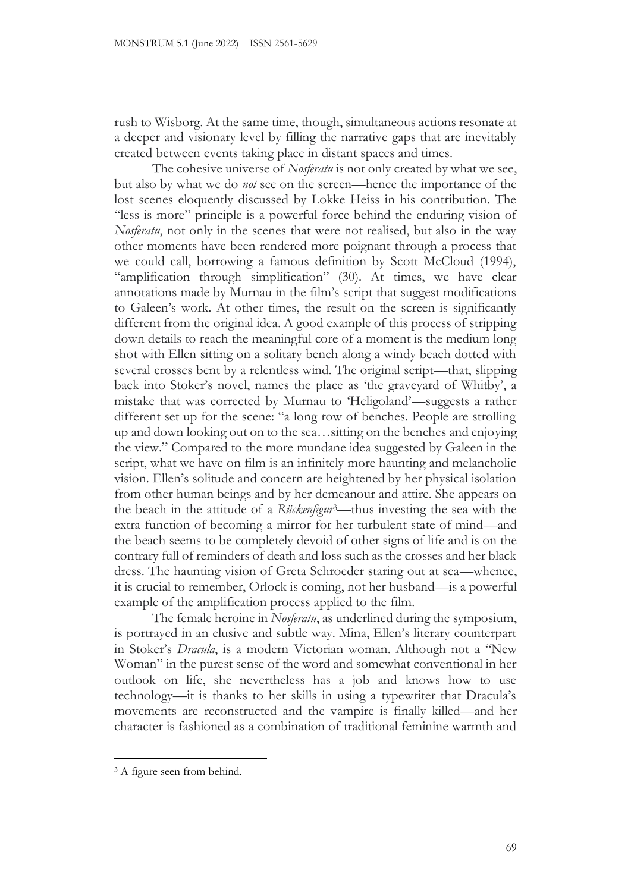rush to Wisborg. At the same time, though, simultaneous actions resonate at a deeper and visionary level by filling the narrative gaps that are inevitably created between events taking place in distant spaces and times.

The cohesive universe of *Nosferatu* is not only created by what we see, but also by what we do *not* see on the screen—hence the importance of the lost scenes eloquently discussed by Lokke Heiss in his contribution. The "less is more" principle is a powerful force behind the enduring vision of *Nosferatu*, not only in the scenes that were not realised, but also in the way other moments have been rendered more poignant through a process that we could call, borrowing a famous definition by Scott McCloud (1994), "amplification through simplification" (30). At times, we have clear annotations made by Murnau in the film's script that suggest modifications to Galeen's work. At other times, the result on the screen is significantly different from the original idea. A good example of this process of stripping down details to reach the meaningful core of a moment is the medium long shot with Ellen sitting on a solitary bench along a windy beach dotted with several crosses bent by a relentless wind. The original script—that, slipping back into Stoker's novel, names the place as 'the graveyard of Whitby', a mistake that was corrected by Murnau to 'Heligoland'—suggests a rather different set up for the scene: "a long row of benches. People are strolling up and down looking out on to the sea…sitting on the benches and enjoying the view." Compared to the more mundane idea suggested by Galeen in the script, what we have on film is an infinitely more haunting and melancholic vision. Ellen's solitude and concern are heightened by her physical isolation from other human beings and by her demeanour and attire. She appears on the beach in the attitude of a *Rückenfigur*3—thus investing the sea with the extra function of becoming a mirror for her turbulent state of mind—and the beach seems to be completely devoid of other signs of life and is on the contrary full of reminders of death and loss such as the crosses and her black dress. The haunting vision of Greta Schroeder staring out at sea—whence, it is crucial to remember, Orlock is coming, not her husband—is a powerful example of the amplification process applied to the film.

The female heroine in *Nosferatu*, as underlined during the symposium, is portrayed in an elusive and subtle way. Mina, Ellen's literary counterpart in Stoker's *Dracula*, is a modern Victorian woman. Although not a "New Woman" in the purest sense of the word and somewhat conventional in her outlook on life, she nevertheless has a job and knows how to use technology—it is thanks to her skills in using a typewriter that Dracula's movements are reconstructed and the vampire is finally killed—and her character is fashioned as a combination of traditional feminine warmth and

<sup>3</sup> A figure seen from behind.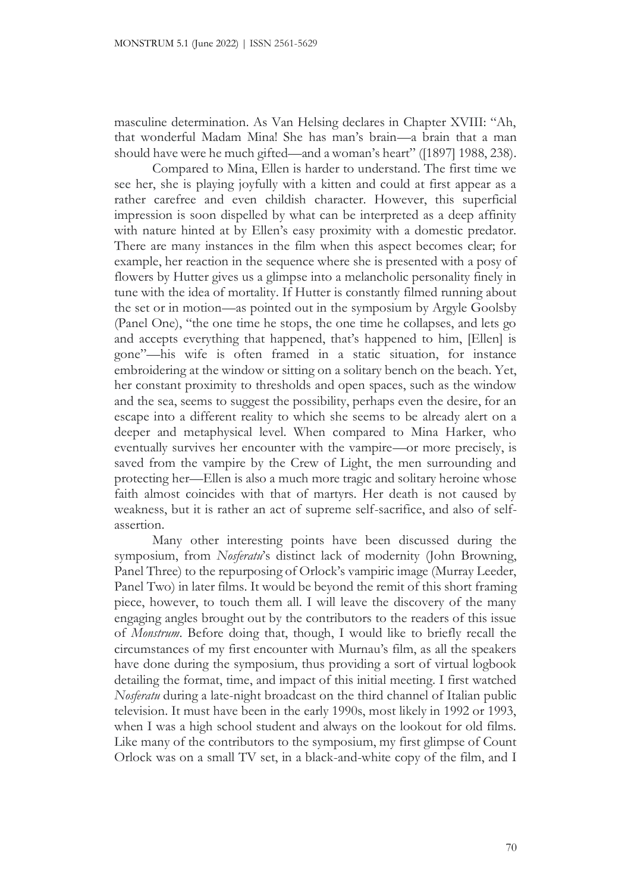masculine determination. As Van Helsing declares in Chapter XVIII: "Ah, that wonderful Madam Mina! She has man's brain—a brain that a man should have were he much gifted—and a woman's heart" ([1897] 1988, 238).

Compared to Mina, Ellen is harder to understand. The first time we see her, she is playing joyfully with a kitten and could at first appear as a rather carefree and even childish character. However, this superficial impression is soon dispelled by what can be interpreted as a deep affinity with nature hinted at by Ellen's easy proximity with a domestic predator. There are many instances in the film when this aspect becomes clear; for example, her reaction in the sequence where she is presented with a posy of flowers by Hutter gives us a glimpse into a melancholic personality finely in tune with the idea of mortality. If Hutter is constantly filmed running about the set or in motion—as pointed out in the symposium by Argyle Goolsby (Panel One), "the one time he stops, the one time he collapses, and lets go and accepts everything that happened, that's happened to him, [Ellen] is gone"—his wife is often framed in a static situation, for instance embroidering at the window or sitting on a solitary bench on the beach. Yet, her constant proximity to thresholds and open spaces, such as the window and the sea, seems to suggest the possibility, perhaps even the desire, for an escape into a different reality to which she seems to be already alert on a deeper and metaphysical level. When compared to Mina Harker, who eventually survives her encounter with the vampire—or more precisely, is saved from the vampire by the Crew of Light, the men surrounding and protecting her—Ellen is also a much more tragic and solitary heroine whose faith almost coincides with that of martyrs. Her death is not caused by weakness, but it is rather an act of supreme self-sacrifice, and also of selfassertion.

Many other interesting points have been discussed during the symposium, from *Nosferatu*'s distinct lack of modernity (John Browning, Panel Three) to the repurposing of Orlock's vampiric image (Murray Leeder, Panel Two) in later films. It would be beyond the remit of this short framing piece, however, to touch them all. I will leave the discovery of the many engaging angles brought out by the contributors to the readers of this issue of *Monstrum*. Before doing that, though, I would like to briefly recall the circumstances of my first encounter with Murnau's film, as all the speakers have done during the symposium, thus providing a sort of virtual logbook detailing the format, time, and impact of this initial meeting. I first watched *Nosferatu* during a late-night broadcast on the third channel of Italian public television. It must have been in the early 1990s, most likely in 1992 or 1993, when I was a high school student and always on the lookout for old films. Like many of the contributors to the symposium, my first glimpse of Count Orlock was on a small TV set, in a black-and-white copy of the film, and I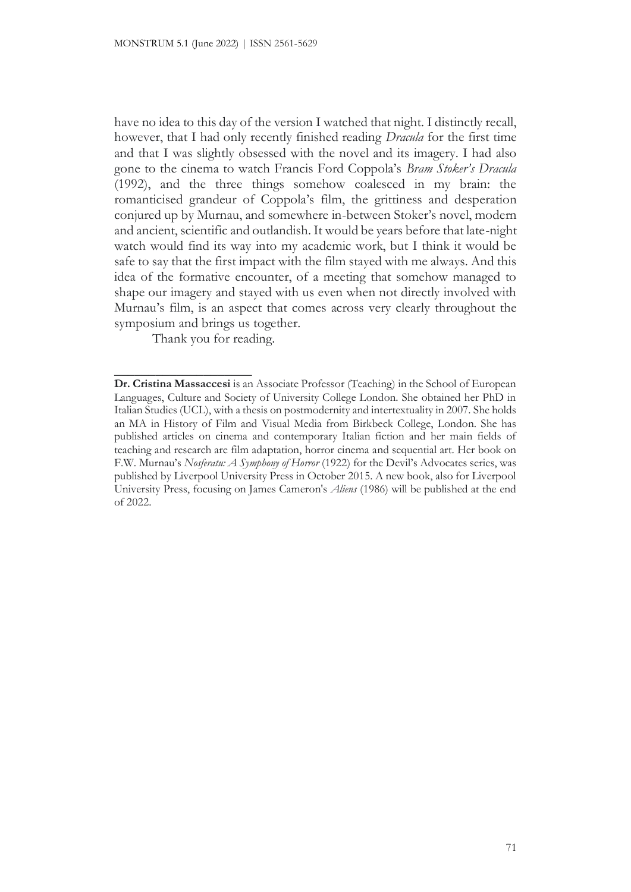have no idea to this day of the version I watched that night. I distinctly recall, however, that I had only recently finished reading *Dracula* for the first time and that I was slightly obsessed with the novel and its imagery. I had also gone to the cinema to watch Francis Ford Coppola's *Bram Stoker's Dracula*  (1992), and the three things somehow coalesced in my brain: the romanticised grandeur of Coppola's film, the grittiness and desperation conjured up by Murnau, and somewhere in-between Stoker's novel, modern and ancient, scientific and outlandish. It would be years before that late-night watch would find its way into my academic work, but I think it would be safe to say that the first impact with the film stayed with me always. And this idea of the formative encounter, of a meeting that somehow managed to shape our imagery and stayed with us even when not directly involved with Murnau's film, is an aspect that comes across very clearly throughout the symposium and brings us together.

Thank you for reading.

 $\_$ 

**Dr. Cristina Massaccesi** is an Associate Professor (Teaching) in the School of European Languages, Culture and Society of University College London. She obtained her PhD in Italian Studies (UCL), with a thesis on postmodernity and intertextuality in 2007. She holds an MA in History of Film and Visual Media from Birkbeck College, London. She has published articles on cinema and contemporary Italian fiction and her main fields of teaching and research are film adaptation, horror cinema and sequential art. Her book on F.W. Murnau's *Nosferatu: A Symphony of Horror* (1922) for the Devil's Advocates series, was published by Liverpool University Press in October 2015. A new book, also for Liverpool University Press, focusing on James Cameron's *Aliens* (1986) will be published at the end of 2022.